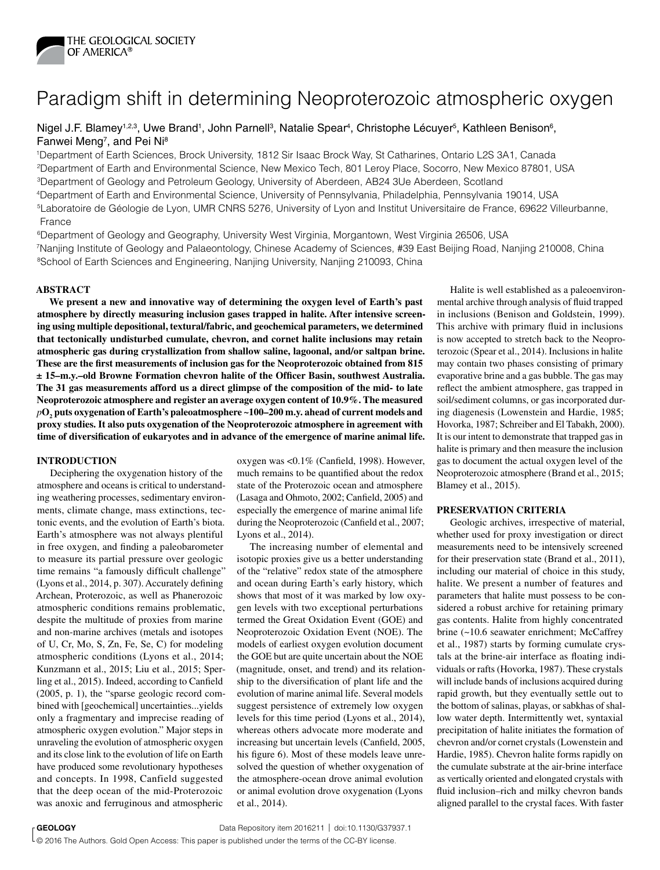

# Paradigm shift in determining Neoproterozoic atmospheric oxygen

## Nigel J.F. Blamey<sup>1,2,3</sup>, Uwe Brand<sup>1</sup>, John Parnell<sup>3</sup>, Natalie Spear<sup>4</sup>, Christophe Lécuyer<sup>5</sup>, Kathleen Benison<sup>6</sup>, Fanwei Meng<sup>7</sup>, and Pei Ni<sup>8</sup>

1Department of Earth Sciences, Brock University, 1812 Sir Isaac Brock Way, St Catharines, Ontario L2S 3A1, Canada 2Department of Earth and Environmental Science, New Mexico Tech, 801 Leroy Place, Socorro, New Mexico 87801, USA 3Department of Geology and Petroleum Geology, University of Aberdeen, AB24 3Ue Aberdeen, Scotland 4Department of Earth and Environmental Science, University of Pennsylvania, Philadelphia, Pennsylvania 19014, USA 5Laboratoire de Géologie de Lyon, UMR CNRS 5276, University of Lyon and Institut Universitaire de France, 69622 Villeurbanne, France

6Department of Geology and Geography, University West Virginia, Morgantown, West Virginia 26506, USA 7Nanjing Institute of Geology and Palaeontology, Chinese Academy of Sciences, #39 East Beijing Road, Nanjing 210008, China <sup>8</sup>School of Earth Sciences and Engineering, Nanjing University, Nanjing 210093, China

## **ABSTRACT**

**We present a new and innovative way of determining the oxygen level of Earth's past atmosphere by directly measuring inclusion gases trapped in halite. After intensive screening using multiple depositional, textural/fabric, and geochemical parameters, we determined that tectonically undisturbed cumulate, chevron, and cornet halite inclusions may retain atmospheric gas during crystallization from shallow saline, lagoonal, and/or saltpan brine. These are the first measurements of inclusion gas for the Neoproterozoic obtained from 815 ± 15–m.y.–old Browne Formation chevron halite of the Officer Basin, southwest Australia. The 31 gas measurements afford us a direct glimpse of the composition of the mid- to late Neoproterozoic atmosphere and register an average oxygen content of 10.9%. The measured**   $p\textbf{O}_2$  puts oxygenation of Earth's paleoatmosphere ~100–200 m.y. ahead of current models and **proxy studies. It also puts oxygenation of the Neoproterozoic atmosphere in agreement with time of diversification of eukaryotes and in advance of the emergence of marine animal life.**

#### **INTRODUCTION**

Deciphering the oxygenation history of the atmosphere and oceans is critical to understanding weathering processes, sedimentary environments, climate change, mass extinctions, tectonic events, and the evolution of Earth's biota. Earth's atmosphere was not always plentiful in free oxygen, and finding a paleobarometer to measure its partial pressure over geologic time remains "a famously difficult challenge" (Lyons et al., 2014, p. 307). Accurately defining Archean, Proterozoic, as well as Phanerozoic atmospheric conditions remains problematic, despite the multitude of proxies from marine and non-marine archives (metals and isotopes of U, Cr, Mo, S, Zn, Fe, Se, C) for modeling atmospheric conditions (Lyons et al., 2014; Kunzmann et al., 2015; Liu et al., 2015; Sperling et al., 2015). Indeed, according to Canfield (2005, p. 1), the "sparse geologic record combined with [geochemical] uncertainties...yields only a fragmentary and imprecise reading of atmospheric oxygen evolution." Major steps in unraveling the evolution of atmospheric oxygen and its close link to the evolution of life on Earth have produced some revolutionary hypotheses and concepts. In 1998, Canfield suggested that the deep ocean of the mid-Proterozoic was anoxic and ferruginous and atmospheric

oxygen was <0.1% (Canfield, 1998). However, much remains to be quantified about the redox state of the Proterozoic ocean and atmosphere (Lasaga and Ohmoto, 2002; Canfield, 2005) and especially the emergence of marine animal life during the Neoproterozoic (Canfield et al., 2007; Lyons et al., 2014).

The increasing number of elemental and isotopic proxies give us a better understanding of the "relative" redox state of the atmosphere and ocean during Earth's early history, which shows that most of it was marked by low oxygen levels with two exceptional perturbations termed the Great Oxidation Event (GOE) and Neoproterozoic Oxidation Event (NOE). The models of earliest oxygen evolution document the GOE but are quite uncertain about the NOE (magnitude, onset, and trend) and its relationship to the diversification of plant life and the evolution of marine animal life. Several models suggest persistence of extremely low oxygen levels for this time period (Lyons et al., 2014), whereas others advocate more moderate and increasing but uncertain levels (Canfield, 2005, his figure 6). Most of these models leave unresolved the question of whether oxygenation of the atmosphere-ocean drove animal evolution or animal evolution drove oxygenation (Lyons et al., 2014).

Halite is well established as a paleoenvironmental archive through analysis of fluid trapped in inclusions (Benison and Goldstein, 1999). This archive with primary fluid in inclusions is now accepted to stretch back to the Neoproterozoic (Spear et al., 2014). Inclusions in halite may contain two phases consisting of primary evaporative brine and a gas bubble. The gas may reflect the ambient atmosphere, gas trapped in soil/sediment columns, or gas incorporated during diagenesis (Lowenstein and Hardie, 1985; Hovorka, 1987; Schreiber and El Tabakh, 2000). It is our intent to demonstrate that trapped gas in halite is primary and then measure the inclusion gas to document the actual oxygen level of the Neoproterozoic atmosphere (Brand et al., 2015; Blamey et al., 2015).

#### **PRESERVATION CRITERIA**

Geologic archives, irrespective of material, whether used for proxy investigation or direct measurements need to be intensively screened for their preservation state (Brand et al., 2011), including our material of choice in this study, halite. We present a number of features and parameters that halite must possess to be considered a robust archive for retaining primary gas contents. Halite from highly concentrated brine (~10.6 seawater enrichment; McCaffrey et al., 1987) starts by forming cumulate crystals at the brine-air interface as floating individuals or rafts (Hovorka, 1987). These crystals will include bands of inclusions acquired during rapid growth, but they eventually settle out to the bottom of salinas, playas, or sabkhas of shallow water depth. Intermittently wet, syntaxial precipitation of halite initiates the formation of chevron and/or cornet crystals (Lowenstein and Hardie, 1985). Chevron halite forms rapidly on the cumulate substrate at the air-brine interface as vertically oriented and elongated crystals with fluid inclusion–rich and milky chevron bands aligned parallel to the crystal faces. With faster

**GEOLOGY CEOLOGY BUSIC 2016 Data Repository item 2016211** | doi:10.1130/G37937.1

© 2016 The Authors. Gold Open Access: This paper is published under the terms of the CC-BY license.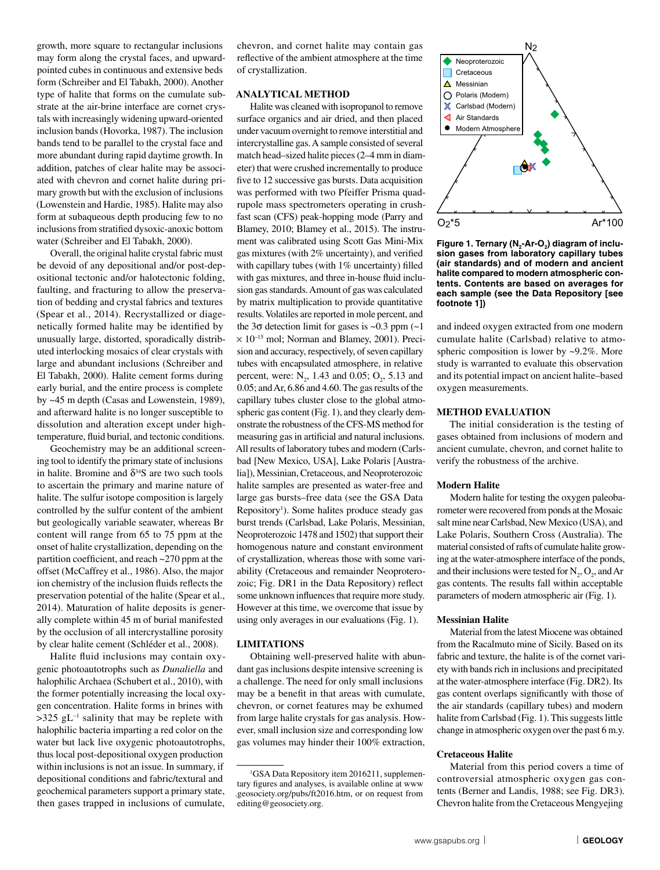growth, more square to rectangular inclusions may form along the crystal faces, and upwardpointed cubes in continuous and extensive beds form (Schreiber and El Tabakh, 2000). Another type of halite that forms on the cumulate substrate at the air-brine interface are cornet crystals with increasingly widening upward-oriented inclusion bands (Hovorka, 1987). The inclusion bands tend to be parallel to the crystal face and more abundant during rapid daytime growth. In addition, patches of clear halite may be associated with chevron and cornet halite during primary growth but with the exclusion of inclusions (Lowenstein and Hardie, 1985). Halite may also form at subaqueous depth producing few to no inclusions from stratified dysoxic-anoxic bottom water (Schreiber and El Tabakh, 2000).

Overall, the original halite crystal fabric must be devoid of any depositional and/or post-depositional tectonic and/or halotectonic folding, faulting, and fracturing to allow the preservation of bedding and crystal fabrics and textures (Spear et al., 2014). Recrystallized or diagenetically formed halite may be identified by unusually large, distorted, sporadically distributed interlocking mosaics of clear crystals with large and abundant inclusions (Schreiber and El Tabakh, 2000). Halite cement forms during early burial, and the entire process is complete by ~45 m depth (Casas and Lowenstein, 1989), and afterward halite is no longer susceptible to dissolution and alteration except under hightemperature, fluid burial, and tectonic conditions.

Geochemistry may be an additional screening tool to identify the primary state of inclusions in halite. Bromine and  $\delta^{34}S$  are two such tools to ascertain the primary and marine nature of halite. The sulfur isotope composition is largely controlled by the sulfur content of the ambient but geologically variable seawater, whereas Br content will range from 65 to 75 ppm at the onset of halite crystallization, depending on the partition coefficient, and reach ~270 ppm at the offset (McCaffrey et al., 1986). Also, the major ion chemistry of the inclusion fluids reflects the preservation potential of the halite (Spear et al., 2014). Maturation of halite deposits is generally complete within 45 m of burial manifested by the occlusion of all intercrystalline porosity by clear halite cement (Schléder et al., 2008).

Halite fluid inclusions may contain oxygenic photoautotrophs such as *Dunaliella* and halophilic Archaea (Schubert et al., 2010), with the former potentially increasing the local oxygen concentration. Halite forms in brines with  $>325$  gL<sup>-1</sup> salinity that may be replete with halophilic bacteria imparting a red color on the water but lack live oxygenic photoautotrophs, thus local post-depositional oxygen production within inclusions is not an issue. In summary, if depositional conditions and fabric/textural and geochemical parameters support a primary state, then gases trapped in inclusions of cumulate,

chevron, and cornet halite may contain gas reflective of the ambient atmosphere at the time of crystallization.

## **ANALYTICAL METHOD**

Halite was cleaned with isopropanol to remove surface organics and air dried, and then placed under vacuum overnight to remove interstitial and intercrystalline gas. A sample consisted of several match head–sized halite pieces (2–4 mm in diameter) that were crushed incrementally to produce five to 12 successive gas bursts. Data acquisition was performed with two Pfeiffer Prisma quadrupole mass spectrometers operating in crushfast scan (CFS) peak-hopping mode (Parry and Blamey, 2010; Blamey et al., 2015). The instrument was calibrated using Scott Gas Mini-Mix gas mixtures (with 2% uncertainty), and verified with capillary tubes (with 1% uncertainty) filled with gas mixtures, and three in-house fluid inclusion gas standards. Amount of gas was calculated by matrix multiplication to provide quantitative results. Volatiles are reported in mole percent, and the  $3\sigma$  detection limit for gases is  $\sim 0.3$  ppm ( $\sim 1$ )  $\times$  10<sup>-15</sup> mol; Norman and Blamey, 2001). Precision and accuracy, respectively, of seven capillary tubes with encapsulated atmosphere, in relative percent, were:  $N_2$ , 1.43 and 0.05;  $O_2$ , 5.13 and 0.05; and Ar, 6.86 and 4.60. The gas results of the capillary tubes cluster close to the global atmospheric gas content (Fig. 1), and they clearly demonstrate the robustness of the CFS-MS method for measuring gas in artificial and natural inclusions. All results of laboratory tubes and modern (Carlsbad [New Mexico, USA], Lake Polaris [Australia]), Messinian, Cretaceous, and Neoproterozoic halite samples are presented as water-free and large gas bursts–free data (see the GSA Data Repository<sup>1</sup>). Some halites produce steady gas burst trends (Carlsbad, Lake Polaris, Messinian, Neoproterozoic 1478 and 1502) that support their homogenous nature and constant environment of crystallization, whereas those with some variability (Cretaceous and remainder Neoproterozoic; Fig. DR1 in the Data Repository) reflect some unknown influences that require more study. However at this time, we overcome that issue by using only averages in our evaluations (Fig. 1).

#### **LIMITATIONS**

Obtaining well-preserved halite with abundant gas inclusions despite intensive screening is a challenge. The need for only small inclusions may be a benefit in that areas with cumulate, chevron, or cornet features may be exhumed from large halite crystals for gas analysis. However, small inclusion size and corresponding low gas volumes may hinder their 100% extraction,



Figure 1. Ternary (N<sub>2</sub>-Ar-O<sub>2</sub>) diagram of inclu**sion gases from laboratory capillary tubes (air standards) and of modern and ancient halite compared to modern atmospheric contents. Contents are based on averages for each sample (see the Data Repository [see footnote 1])**

and indeed oxygen extracted from one modern cumulate halite (Carlsbad) relative to atmospheric composition is lower by ~9.2%. More study is warranted to evaluate this observation and its potential impact on ancient halite–based oxygen measurements.

## **METHOD EVALUATION**

The initial consideration is the testing of gases obtained from inclusions of modern and ancient cumulate, chevron, and cornet halite to verify the robustness of the archive.

#### **Modern Halite**

Modern halite for testing the oxygen paleobarometer were recovered from ponds at the Mosaic salt mine near Carlsbad, New Mexico (USA), and Lake Polaris, Southern Cross (Australia). The material consisted of rafts of cumulate halite growing at the water-atmosphere interface of the ponds, and their inclusions were tested for  $N_2$ ,  $O_2$ , and Ar gas contents. The results fall within acceptable parameters of modern atmospheric air (Fig. 1).

#### **Messinian Halite**

Material from the latest Miocene was obtained from the Racalmuto mine of Sicily. Based on its fabric and texture, the halite is of the cornet variety with bands rich in inclusions and precipitated at the water-atmosphere interface (Fig. DR2). Its gas content overlaps significantly with those of the air standards (capillary tubes) and modern halite from Carlsbad (Fig. 1). This suggests little change in atmospheric oxygen over the past 6 m.y.

#### **Cretaceous Halite**

Material from this period covers a time of controversial atmospheric oxygen gas contents (Berner and Landis, 1988; see Fig. DR3). Chevron halite from the Cretaceous Mengyejing

<sup>&</sup>lt;sup>1</sup>GSA Data Repository item 2016211, supplementary figures and analyses, is available online at www .geosociety.org/pubs/ft2016.htm, or on request from editing@geosociety.org.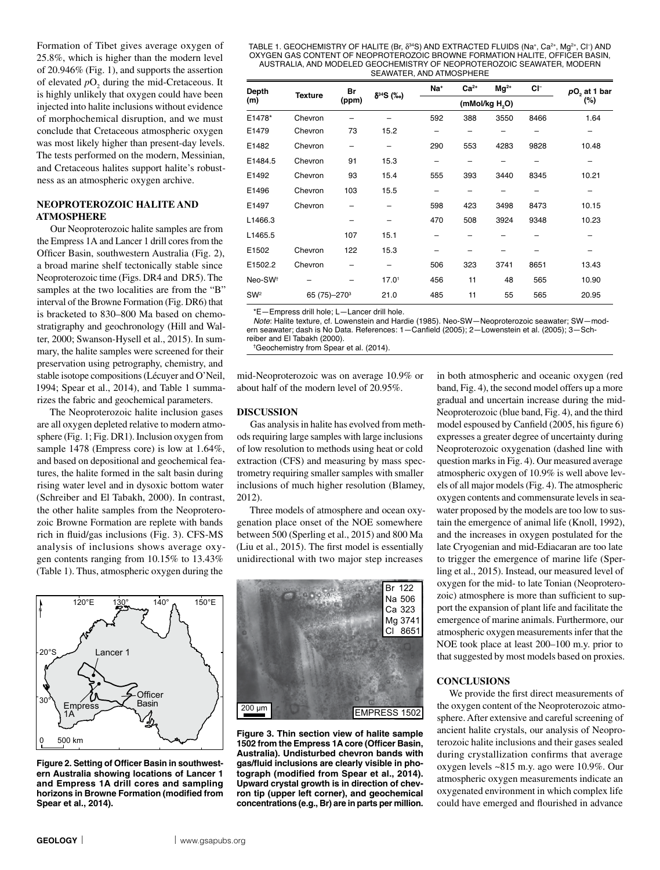Formation of Tibet gives average oxygen of 25.8%, which is higher than the modern level of 20.946% (Fig. 1), and supports the assertion of elevated  $pO_2$  during the mid-Cretaceous. It is highly unlikely that oxygen could have been injected into halite inclusions without evidence of morphochemical disruption, and we must conclude that Cretaceous atmospheric oxygen was most likely higher than present-day levels. The tests performed on the modern, Messinian, and Cretaceous halites support halite's robustness as an atmospheric oxygen archive.

## **NEOPROTEROZOIC HALITE AND ATMOSPHERE**

Our Neoproterozoic halite samples are from the Empress 1A and Lancer 1 drill cores from the Officer Basin, southwestern Australia (Fig. 2), a broad marine shelf tectonically stable since Neoproterozoic time (Figs. DR4 and DR5). The samples at the two localities are from the "B" interval of the Browne Formation (Fig. DR6) that is bracketed to 830–800 Ma based on chemostratigraphy and geochronology (Hill and Walter, 2000; Swanson-Hysell et al., 2015). In summary, the halite samples were screened for their preservation using petrography, chemistry, and stable isotope compositions (Lécuyer and O'Neil, 1994; Spear et al., 2014), and Table 1 summarizes the fabric and geochemical parameters.

The Neoproterozoic halite inclusion gases are all oxygen depleted relative to modern atmosphere (Fig. 1; Fig. DR1). Inclusion oxygen from sample 1478 (Empress core) is low at 1.64%, and based on depositional and geochemical features, the halite formed in the salt basin during rising water level and in dysoxic bottom water (Schreiber and El Tabakh, 2000). In contrast, the other halite samples from the Neoproterozoic Browne Formation are replete with bands rich in fluid/gas inclusions (Fig. 3). CFS-MS analysis of inclusions shows average oxygen contents ranging from 10.15% to 13.43% (Table 1). Thus, atmospheric oxygen during the



**Figure 2. Setting of Officer Basin in southwestern Australia showing locations of Lancer 1 and Empress 1A drill cores and sampling horizons in Browne Formation (modified from Spear et al., 2014).**



**Figure 3. Thin section view of halite sample 1502 from the Empress 1A core (Officer Basin, Australia). Undisturbed chevron bands with gas/fluid inclusions are clearly visible in photograph (modified from Spear et al., 2014). Upward crystal growth is in direction of chevron tip (upper left corner), and geochemical concentrations (e.g., Br) are in parts per million.**

in both atmospheric and oceanic oxygen (red band, Fig. 4), the second model offers up a more gradual and uncertain increase during the mid-Neoproterozoic (blue band, Fig. 4), and the third model espoused by Canfield (2005, his figure 6) expresses a greater degree of uncertainty during Neoproterozoic oxygenation (dashed line with question marks in Fig. 4). Our measured average atmospheric oxygen of 10.9% is well above levels of all major models (Fig. 4). The atmospheric oxygen contents and commensurate levels in seawater proposed by the models are too low to sustain the emergence of animal life (Knoll, 1992), and the increases in oxygen postulated for the late Cryogenian and mid-Ediacaran are too late to trigger the emergence of marine life (Sperling et al., 2015). Instead, our measured level of oxygen for the mid- to late Tonian (Neoproterozoic) atmosphere is more than sufficient to support the expansion of plant life and facilitate the emergence of marine animals. Furthermore, our atmospheric oxygen measurements infer that the NOE took place at least 200–100 m.y. prior to that suggested by most models based on proxies.

### **CONCLUSIONS**

We provide the first direct measurements of the oxygen content of the Neoproterozoic atmosphere. After extensive and careful screening of ancient halite crystals, our analysis of Neoproterozoic halite inclusions and their gases sealed during crystallization confirms that average oxygen levels ~815 m.y. ago were 10.9%. Our atmospheric oxygen measurements indicate an oxygenated environment in which complex life could have emerged and flourished in advance

#### TABLE 1. GEOCHEMISTRY OF HALITE (Br, δ<sup>34</sup>S) AND EXTRACTED FLUIDS (Na+, Ca<sup>2+</sup>, Mg<sup>2+</sup>, Cl-) AND OXYGEN GAS CONTENT OF NEOPROTEROZOIC BROWNE FORMATION HALITE, OFFICER BASIN, AUSTRALIA, AND MODELED GEOCHEMISTRY OF NEOPROTEROZOIC SEAWATER, MODERN SEAWATER, AND ATMOSPHERE

| Depth<br>(m)        | <b>Texture</b>             | Br<br>(ppm) | $\delta^{34}S$ (%o) | Na <sup>+</sup>            | $Ca2+$ | $Mg^{2+}$ | CI-  | pO, at 1 bar |
|---------------------|----------------------------|-------------|---------------------|----------------------------|--------|-----------|------|--------------|
|                     |                            |             |                     | (mMol/kg H <sub>2</sub> O) |        |           |      | (%)          |
| E1478*              | Chevron                    |             |                     | 592                        | 388    | 3550      | 8466 | 1.64         |
| E1479               | Chevron                    | 73          | 15.2                |                            |        |           |      | -            |
| E1482               | Chevron                    |             |                     | 290                        | 553    | 4283      | 9828 | 10.48        |
| E1484.5             | Chevron                    | 91          | 15.3                |                            |        |           |      |              |
| E1492               | Chevron                    | 93          | 15.4                | 555                        | 393    | 3440      | 8345 | 10.21        |
| E1496               | Chevron                    | 103         | 15.5                |                            |        |           |      |              |
| E1497               | Chevron                    |             |                     | 598                        | 423    | 3498      | 8473 | 10.15        |
| L1466.3             |                            |             |                     | 470                        | 508    | 3924      | 9348 | 10.23        |
| L1465.5             |                            | 107         | 15.1                |                            |        |           |      |              |
| E1502               | Chevron                    | 122         | 15.3                |                            |        |           |      |              |
| E1502.2             | Chevron                    |             |                     | 506                        | 323    | 3741      | 8651 | 13.43        |
| Neo-SW <sup>+</sup> |                            |             | 17.0 <sup>1</sup>   | 456                        | 11     | 48        | 565  | 10.90        |
| SW <sup>2</sup>     | 65 (75) - 270 <sup>3</sup> |             | 21.0                | 485                        | 11     | 55        | 565  | 20.95        |

\*E—Empress drill hole; L—Lancer drill hole.

Note: Halite texture, cf. Lowenstein and Hardie (1985). Neo-SW—Neoproterozoic seawater; SW—modern seawater; dash is No Data. References: 1—Canfield (2005); 2—Lowenstein et al. (2005); 3—Schreiber and El Tabakh (2000).

Br 122

†Geochemistry from Spear et al. (2014).

mid-Neoproterozoic was on average 10.9% or about half of the modern level of 20.95%.

#### **DISCUSSION**

Gas analysis in halite has evolved from methods requiring large samples with large inclusions of low resolution to methods using heat or cold extraction (CFS) and measuring by mass spectrometry requiring smaller samples with smaller inclusions of much higher resolution (Blamey, 2012).

Three models of atmosphere and ocean oxygenation place onset of the NOE somewhere between 500 (Sperling et al., 2015) and 800 Ma (Liu et al., 2015). The first model is essentially unidirectional with two major step increases